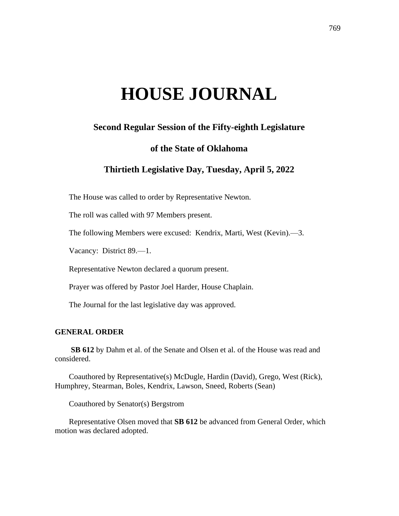# **HOUSE JOURNAL**

## **Second Regular Session of the Fifty-eighth Legislature**

### **of the State of Oklahoma**

## **Thirtieth Legislative Day, Tuesday, April 5, 2022**

The House was called to order by Representative Newton.

The roll was called with 97 Members present.

The following Members were excused: Kendrix, Marti, West (Kevin).—3.

Vacancy: District 89.—1.

Representative Newton declared a quorum present.

Prayer was offered by Pastor Joel Harder, House Chaplain.

The Journal for the last legislative day was approved.

#### **GENERAL ORDER**

**SB 612** by Dahm et al. of the Senate and Olsen et al. of the House was read and considered.

Coauthored by Representative(s) McDugle, Hardin (David), Grego, West (Rick), Humphrey, Stearman, Boles, Kendrix, Lawson, Sneed, Roberts (Sean)

Coauthored by Senator(s) Bergstrom

Representative Olsen moved that **SB 612** be advanced from General Order, which motion was declared adopted.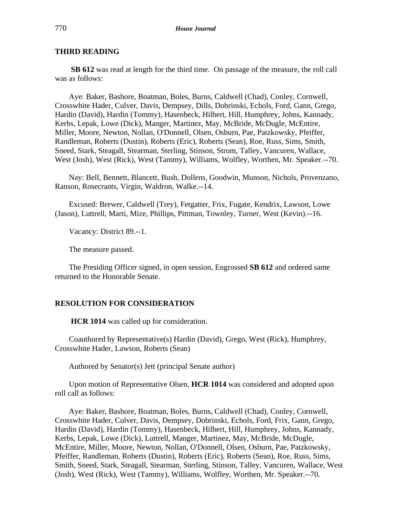#### **THIRD READING**

**SB 612** was read at length for the third time. On passage of the measure, the roll call was as follows:

Aye: Baker, Bashore, Boatman, Boles, Burns, Caldwell (Chad), Conley, Cornwell, Crosswhite Hader, Culver, Davis, Dempsey, Dills, Dobrinski, Echols, Ford, Gann, Grego, Hardin (David), Hardin (Tommy), Hasenbeck, Hilbert, Hill, Humphrey, Johns, Kannady, Kerbs, Lepak, Lowe (Dick), Manger, Martinez, May, McBride, McDugle, McEntire, Miller, Moore, Newton, Nollan, O'Donnell, Olsen, Osburn, Pae, Patzkowsky, Pfeiffer, Randleman, Roberts (Dustin), Roberts (Eric), Roberts (Sean), Roe, Russ, Sims, Smith, Sneed, Stark, Steagall, Stearman, Sterling, Stinson, Strom, Talley, Vancuren, Wallace, West (Josh), West (Rick), West (Tammy), Williams, Wolfley, Worthen, Mr. Speaker.--70.

Nay: Bell, Bennett, Blancett, Bush, Dollens, Goodwin, Munson, Nichols, Provenzano, Ranson, Rosecrants, Virgin, Waldron, Walke.--14.

Excused: Brewer, Caldwell (Trey), Fetgatter, Frix, Fugate, Kendrix, Lawson, Lowe (Jason), Luttrell, Marti, Mize, Phillips, Pittman, Townley, Turner, West (Kevin).--16.

Vacancy: District 89.--1.

The measure passed.

The Presiding Officer signed, in open session, Engrossed **SB 612** and ordered same returned to the Honorable Senate.

#### **RESOLUTION FOR CONSIDERATION**

**HCR 1014** was called up for consideration.

Coauthored by Representative(s) Hardin (David), Grego, West (Rick), Humphrey, Crosswhite Hader, Lawson, Roberts (Sean)

Authored by Senator(s) Jett (principal Senate author)

Upon motion of Representative Olsen, **HCR 1014** was considered and adopted upon roll call as follows:

Aye: Baker, Bashore, Boatman, Boles, Burns, Caldwell (Chad), Conley, Cornwell, Crosswhite Hader, Culver, Davis, Dempsey, Dobrinski, Echols, Ford, Frix, Gann, Grego, Hardin (David), Hardin (Tommy), Hasenbeck, Hilbert, Hill, Humphrey, Johns, Kannady, Kerbs, Lepak, Lowe (Dick), Luttrell, Manger, Martinez, May, McBride, McDugle, McEntire, Miller, Moore, Newton, Nollan, O'Donnell, Olsen, Osburn, Pae, Patzkowsky, Pfeiffer, Randleman, Roberts (Dustin), Roberts (Eric), Roberts (Sean), Roe, Russ, Sims, Smith, Sneed, Stark, Steagall, Stearman, Sterling, Stinson, Talley, Vancuren, Wallace, West (Josh), West (Rick), West (Tammy), Williams, Wolfley, Worthen, Mr. Speaker.--70.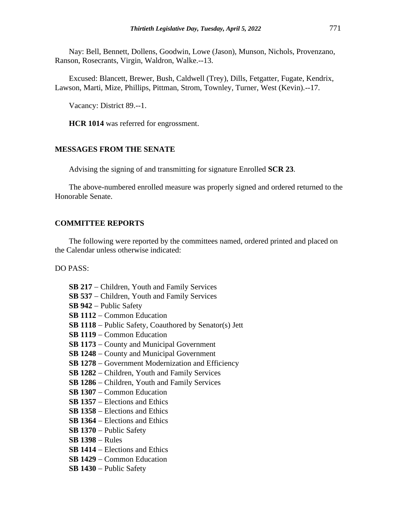Nay: Bell, Bennett, Dollens, Goodwin, Lowe (Jason), Munson, Nichols, Provenzano, Ranson, Rosecrants, Virgin, Waldron, Walke.--13.

Excused: Blancett, Brewer, Bush, Caldwell (Trey), Dills, Fetgatter, Fugate, Kendrix, Lawson, Marti, Mize, Phillips, Pittman, Strom, Townley, Turner, West (Kevin).--17.

Vacancy: District 89.--1.

**HCR 1014** was referred for engrossment.

#### **MESSAGES FROM THE SENATE**

Advising the signing of and transmitting for signature Enrolled **SCR 23**.

The above-numbered enrolled measure was properly signed and ordered returned to the Honorable Senate.

#### **COMMITTEE REPORTS**

The following were reported by the committees named, ordered printed and placed on the Calendar unless otherwise indicated:

DO PASS:

- **SB 217** − Children, Youth and Family Services **SB 537** − Children, Youth and Family Services **SB 942** − Public Safety **SB 1112** − Common Education **SB 1118** − Public Safety, Coauthored by Senator(s) Jett **SB 1119** − Common Education **SB 1173** − County and Municipal Government **SB 1248** − County and Municipal Government **SB 1278** − Government Modernization and Efficiency **SB 1282** − Children, Youth and Family Services **SB 1286** − Children, Youth and Family Services **SB 1307** − Common Education **SB 1357** − Elections and Ethics **SB 1358** − Elections and Ethics **SB 1364** − Elections and Ethics **SB 1370** − Public Safety **SB 1398** − Rules **SB 1414** − Elections and Ethics **SB 1429** − Common Education
- **SB 1430** − Public Safety